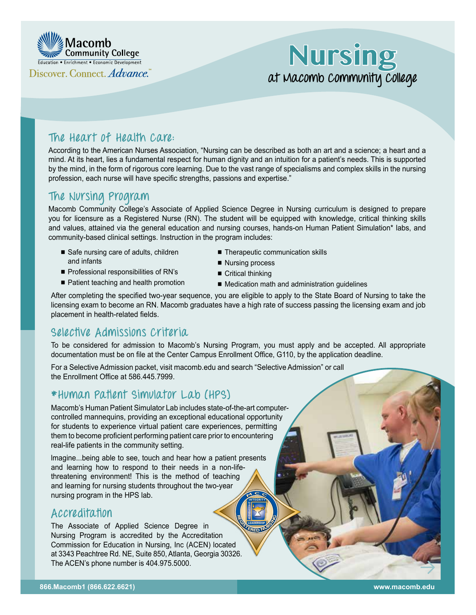

# **Nursing at Macomb Community College**

# **The Heart of Health Care:**

According to the American Nurses Association, "Nursing can be described as both an art and a science; a heart and a mind. At its heart, lies a fundamental respect for human dignity and an intuition for a patient's needs. This is supported by the mind, in the form of rigorous core learning. Due to the vast range of specialisms and complex skills in the nursing profession, each nurse will have specific strengths, passions and expertise."

# **The Nursing Program**

Macomb Community College's Associate of Applied Science Degree in Nursing curriculum is designed to prepare you for licensure as a Registered Nurse (RN). The student will be equipped with knowledge, critical thinking skills and values, attained via the general education and nursing courses, hands-on Human Patient Simulation\* labs, and community-based clinical settings. Instruction in the program includes:

- Safe nursing care of adults, children and infants
- Professional responsibilities of RN's
- Patient teaching and health promotion
- Therapeutic communication skills
- Nursing process
- $\blacksquare$  Critical thinking
- Medication math and administration guidelines

After completing the specified two-year sequence, you are eligible to apply to the State Board of Nursing to take the licensing exam to become an RN. Macomb graduates have a high rate of success passing the licensing exam and job placement in health-related fields.

# **Selective Admissions Criteria**

To be considered for admission to Macomb's Nursing Program, you must apply and be accepted. All appropriate documentation must be on file at the Center Campus Enrollment Office, G110, by the application deadline.

**NTELLIGENCE**<br>LEADERSHIP

**NU** 

For a Selective Admission packet, visit [macomb.edu](http://macomb.edu) and search "Selective Admission" or call the Enrollment Office at 586.445.7999.

## **\*Human Patient Simulator Lab (HPS)**

Macomb's Human Patient Simulator Lab includes state-of-the-art computercontrolled mannequins, providing an exceptional educational opportunity for students to experience virtual patient care experiences, permitting them to become proficient performing patient care prior to encountering real-life patients in the community setting.

lmagine...being able to see, touch and hear how a patient presents and learning how to respond to their needs in a non-lifethreatening environment! This is the method of teaching and learning for nursing students throughout the two-year nursing program in the HPS lab. **INTEGRITY M** $2 - 6$ 

## **Accreditation**

The Associate of Applied Science Degree in Nursing Program is accredited by the Accreditation Commission for Education in Nursing, Inc (ACEN) located at 3343 Peachtree Rd. NE, Suite 850, Atlanta, Georgia 30326. The ACEN's phone number is 404.975.5000. **R**<br>**E**<br>**E**<br>**E**<br>**E**<br> **E**<br> **E**<br> **E**<br> **E**